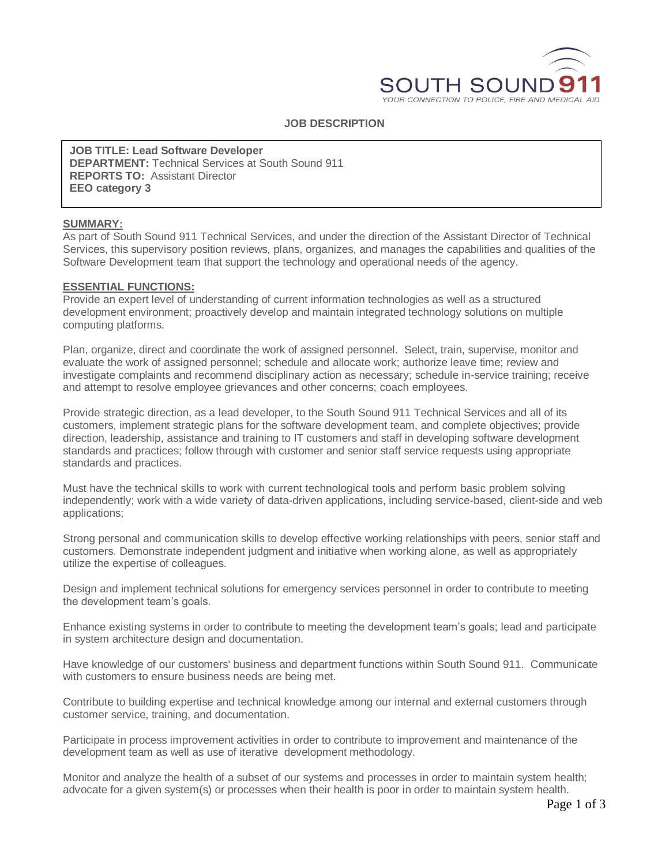

## **JOB DESCRIPTION**

**JOB TITLE: Lead Software Developer DEPARTMENT:** Technical Services at South Sound 911 **REPORTS TO:** Assistant Director **EEO category 3**

#### **SUMMARY:**

As part of South Sound 911 Technical Services, and under the direction of the Assistant Director of Technical Services, this supervisory position reviews, plans, organizes, and manages the capabilities and qualities of the Software Development team that support the technology and operational needs of the agency.

#### **ESSENTIAL FUNCTIONS:**

Provide an expert level of understanding of current information technologies as well as a structured development environment; proactively develop and maintain integrated technology solutions on multiple computing platforms.

Plan, organize, direct and coordinate the work of assigned personnel. Select, train, supervise, monitor and evaluate the work of assigned personnel; schedule and allocate work; authorize leave time; review and investigate complaints and recommend disciplinary action as necessary; schedule in-service training; receive and attempt to resolve employee grievances and other concerns; coach employees.

Provide strategic direction, as a lead developer, to the South Sound 911 Technical Services and all of its customers, implement strategic plans for the software development team, and complete objectives; provide direction, leadership, assistance and training to IT customers and staff in developing software development standards and practices; follow through with customer and senior staff service requests using appropriate standards and practices.

Must have the technical skills to work with current technological tools and perform basic problem solving independently; work with a wide variety of data-driven applications, including service-based, client-side and web applications;

Strong personal and communication skills to develop effective working relationships with peers, senior staff and customers. Demonstrate independent judgment and initiative when working alone, as well as appropriately utilize the expertise of colleagues.

Design and implement technical solutions for emergency services personnel in order to contribute to meeting the development team's goals.

Enhance existing systems in order to contribute to meeting the development team's goals; lead and participate in system architecture design and documentation.

Have knowledge of our customers' business and department functions within South Sound 911. Communicate with customers to ensure business needs are being met.

Contribute to building expertise and technical knowledge among our internal and external customers through customer service, training, and documentation.

Participate in process improvement activities in order to contribute to improvement and maintenance of the development team as well as use of iterative development methodology.

Monitor and analyze the health of a subset of our systems and processes in order to maintain system health; advocate for a given system(s) or processes when their health is poor in order to maintain system health.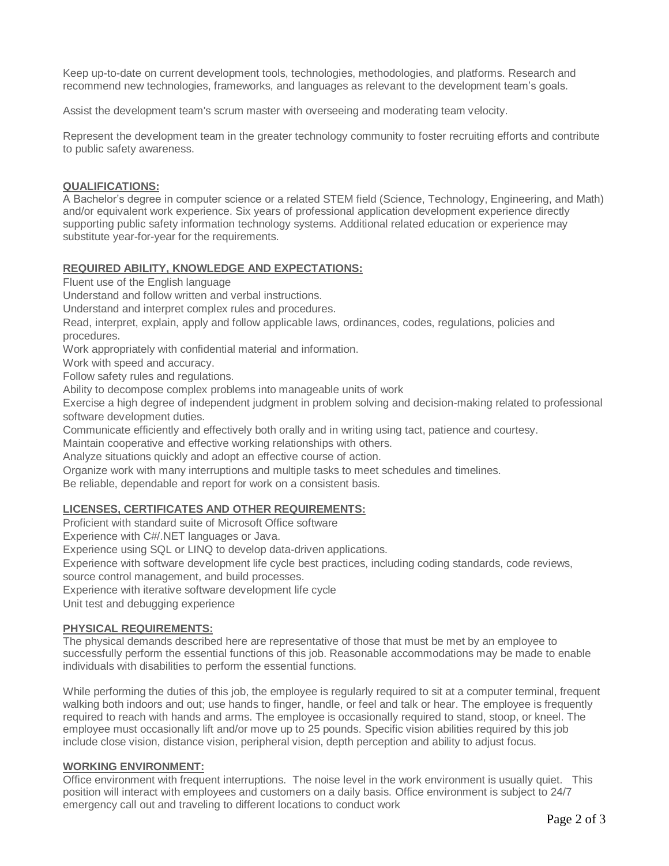Keep up-to-date on current development tools, technologies, methodologies, and platforms. Research and recommend new technologies, frameworks, and languages as relevant to the development team's goals.

Assist the development team's scrum master with overseeing and moderating team velocity.

Represent the development team in the greater technology community to foster recruiting efforts and contribute to public safety awareness.

## **QUALIFICATIONS:**

A Bachelor's degree in computer science or a related STEM field (Science, Technology, Engineering, and Math) and/or equivalent work experience. Six years of professional application development experience directly supporting public safety information technology systems. Additional related education or experience may substitute year-for-year for the requirements.

# **REQUIRED ABILITY, KNOWLEDGE AND EXPECTATIONS:**

Fluent use of the English language

Understand and follow written and verbal instructions.

Understand and interpret complex rules and procedures.

Read, interpret, explain, apply and follow applicable laws, ordinances, codes, regulations, policies and procedures.

Work appropriately with confidential material and information.

Work with speed and accuracy.

Follow safety rules and regulations.

Ability to decompose complex problems into manageable units of work

Exercise a high degree of independent judgment in problem solving and decision-making related to professional software development duties.

Communicate efficiently and effectively both orally and in writing using tact, patience and courtesy.

Maintain cooperative and effective working relationships with others.

Analyze situations quickly and adopt an effective course of action.

Organize work with many interruptions and multiple tasks to meet schedules and timelines.

Be reliable, dependable and report for work on a consistent basis.

# **LICENSES, CERTIFICATES AND OTHER REQUIREMENTS:**

Proficient with standard suite of Microsoft Office software

Experience with C#/.NET languages or Java.

Experience using SQL or LINQ to develop data-driven applications.

Experience with software development life cycle best practices, including coding standards, code reviews,

source control management, and build processes.

Experience with iterative software development life cycle

Unit test and debugging experience

# **PHYSICAL REQUIREMENTS:**

The physical demands described here are representative of those that must be met by an employee to successfully perform the essential functions of this job. Reasonable accommodations may be made to enable individuals with disabilities to perform the essential functions.

While performing the duties of this job, the employee is regularly required to sit at a computer terminal, frequent walking both indoors and out; use hands to finger, handle, or feel and talk or hear. The employee is frequently required to reach with hands and arms. The employee is occasionally required to stand, stoop, or kneel. The employee must occasionally lift and/or move up to 25 pounds. Specific vision abilities required by this job include close vision, distance vision, peripheral vision, depth perception and ability to adjust focus.

# **WORKING ENVIRONMENT:**

Office environment with frequent interruptions. The noise level in the work environment is usually quiet. This position will interact with employees and customers on a daily basis. Office environment is subject to 24/7 emergency call out and traveling to different locations to conduct work